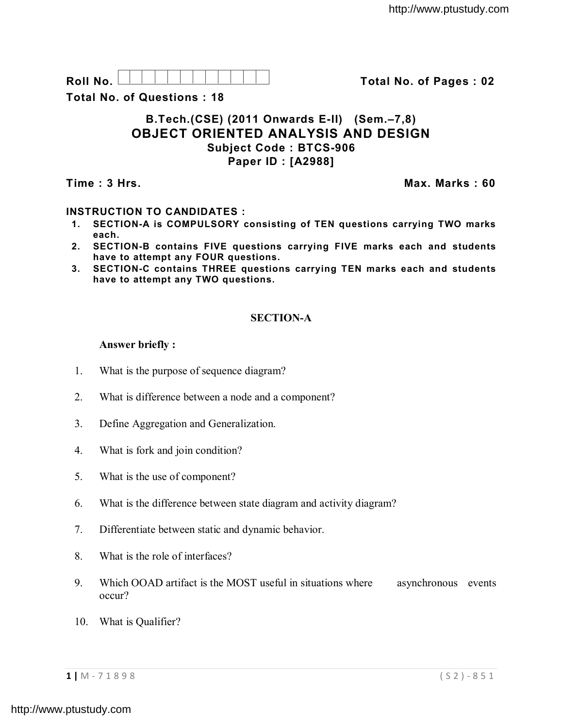| रेा।<br>$\mathsf{R}$ |  |  |  |  |  |  |
|----------------------|--|--|--|--|--|--|

**Roll No. Total No. of Pages : 02**

**Total No. of Questions : 18**

### **B.Tech.(CSE) (2011 Onwards E-II) (Sem.–7,8) OBJECT ORIENTED ANALYSIS AND DESIGN Subject Code : BTCS-906 Paper ID : [A2988]**

**Time : 3 Hrs. Max. Marks : 60**

## **INSTRUCTION TO CANDIDATES :**

- **1. SECTION-A is COMPULSORY consisting of TEN questions carrying TWO marks each.**
- **2. SECTION-B contains FIVE questions carrying FIVE marks each and students have to attempt any FOUR questions.**
- **3. SECTION-C contains THREE questions carrying TEN marks each and students have to attempt any TWO questions.**

# **SECTION-A**

### **Answer briefly :**

- 1. What is the purpose of sequence diagram?
- 2. What is difference between a node and a component?
- 3. Define Aggregation and Generalization.
- 4. What is fork and join condition?
- 5. What is the use of component?
- 6. What is the difference between state diagram and activity diagram?
- 7. Differentiate between static and dynamic behavior.
- 8. What is the role of interfaces?
- 9. Which OOAD artifact is the MOST useful in situations where asynchronous events occur?
- 10. What is Qualifier?